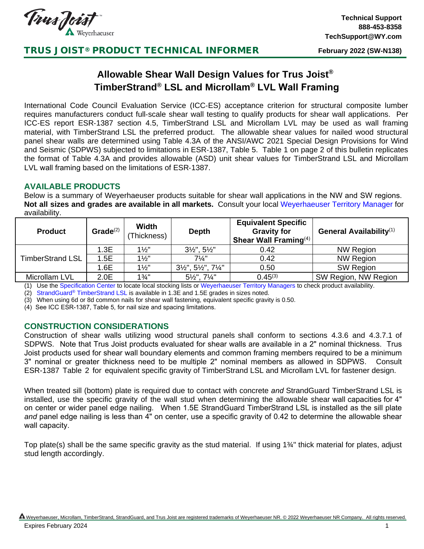

## TRUS JOIST® PRODUCT TECHNICAL INFORMER

**February 2022 (SW-N138)**

# **Allowable Shear Wall Design Values for Trus Joist® TimberStrand® LSL and Microllam® LVL Wall Framing**

International Code Council Evaluation Service (ICC‐ES) acceptance criterion for structural composite lumber requires manufacturers conduct full‐scale shear wall testing to qualify products for shear wall applications. Per ICC‐ES report ESR‐1387 section 4.5, TimberStrand LSL and Microllam LVL may be used as wall framing material, with TimberStrand LSL the preferred product. The allowable shear values for nailed wood structural panel shear walls are determined using Table 4.3A of the ANSI/AWC 2021 Special Design Provisions for Wind and Seismic (SDPWS) subjected to limitations in ESR‐1387, Table 5. Table 1 on page 2 of this bulletin replicates the format of Table 4.3A and provides allowable (ASD) unit shear values for TimberStrand LSL and Microllam LVL wall framing based on the limitations of ESR‐1387.

### **AVAILABLE PRODUCTS**

Below is a summary of Weyerhaeuser products suitable for shear wall applications in the NW and SW regions. **Not all sizes and grades are available in all markets.** Consult your local [Weyerhaeuser Territory Manager f](https://www.weyerhaeuser.com/woodproducts/engineered-lumber/resources/specification-center/)or availability.

| <b>Product</b>          | Grade $(2)$ | <b>Width</b><br>(Thickness) | <b>Depth</b>                                         | <b>Equivalent Specific</b><br><b>Gravity for</b><br>Shear Wall Framing $(4)$ | General Availability <sup>(1)</sup> |  |
|-------------------------|-------------|-----------------------------|------------------------------------------------------|------------------------------------------------------------------------------|-------------------------------------|--|
| <b>TimberStrand LSL</b> | 1.3E        | $1\frac{1}{2}$              | $3\frac{1}{2}$ ", $5\frac{1}{2}$ "                   | 0.42                                                                         | <b>NW Region</b>                    |  |
|                         | 1.5E        | $1\frac{1}{2}$              | $7\frac{1}{4}$ "                                     | 0.42                                                                         | <b>NW Region</b>                    |  |
|                         | 1.6E        | $1\frac{1}{2}$              | $3\frac{1}{2}$ ", $5\frac{1}{2}$ ", $7\frac{1}{4}$ " | 0.50                                                                         | <b>SW Region</b>                    |  |
| Microllam LVL           | 2.0E        | $1\frac{3}{4}$ "            | $5\frac{1}{2}$ ", $7\frac{1}{4}$ "                   | $0.45^{(3)}$                                                                 | SW Region, NW Region                |  |

(1) Use the [Specification Center](https://www.weyerhaeuser.com/woodproducts/engineered-lumber/resources/specification-center/) to locate local stocking lists or Weyerhaeuser [Territory Managers](https://www.weyerhaeuser.com/woodproducts/engineered-lumber/resources/specification-center/) to check product availability.

(2) StrandGuard® [TimberStrand](https://www.weyerhaeuser.com/woodproducts/document-library/document_library_detail/tj-8100/?view=yes) LSL is available in 1.3E and 1.5E grades in sizes noted.

When using 6d or 8d common nails for shear wall fastening, equivalent specific gravity is 0.50.

(4) See ICC ESR-1387, Table 5, for nail size and spacing limitations.

#### **CONSTRUCTION CONSIDERATIONS**

Construction of shear walls utilizing wood structural panels shall conform to sections 4.3.6 and 4.3.7.1 of SDPWS. Note that Trus Joist products evaluated for shear walls are available in a 2" nominal thickness. Trus Joist products used for shear wall boundary elements and common framing members required to be a minimum 3" nominal or greater thickness need to be multiple 2" nominal members as allowed in SDPWS. Consult ESR-1387 Table 2 for equivalent specific gravity of TimberStrand LSL and Microllam LVL for fastener design.

When treated sill (bottom) plate is required due to contact with concrete *and* StrandGuard TimberStrand LSL is installed, use the specific gravity of the wall stud when determining the allowable shear wall capacities for 4" on center or wider panel edge nailing. When 1.5E StrandGuard TimberStrand LSL is installed as the sill plate *and* panel edge nailing is less than 4" on center, use a specific gravity of 0.42 to determine the allowable shear wall capacity.

Top plate(s) shall be the same specific gravity as the stud material. If using 1¾" thick material for plates, adjust stud length accordingly.